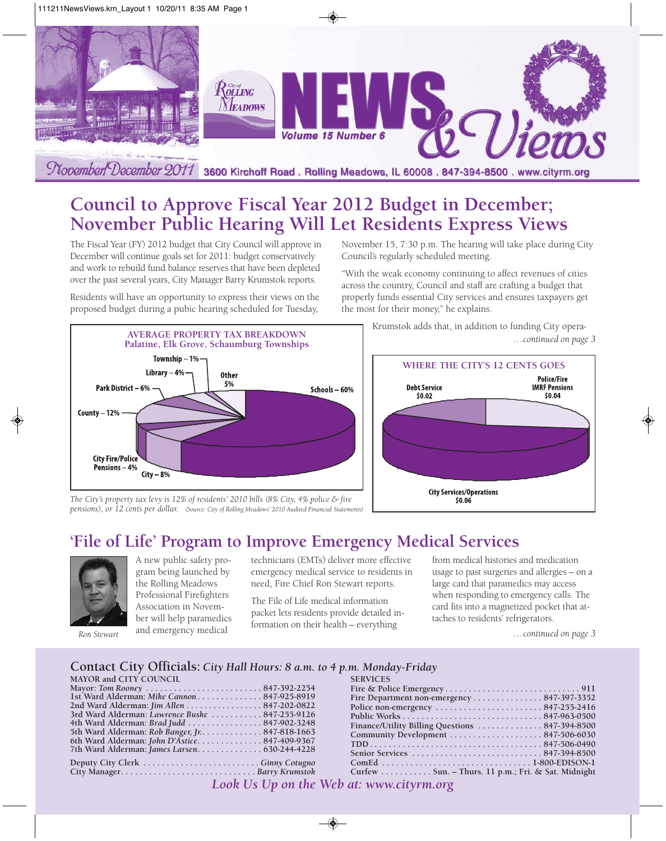

# **Council to Approve Fiscal Year 2012 Budget in December; November Public Hearing Will Let Residents Express Views**

The Fiscal Year (FY) 2012 budget that City Council will approve in December will continue goals set for 2011: budget conservatively and work to rebuild fund balance reserves that have been depleted over the past several years, City Manager Barry Krumstok reports.

Residents will have an opportunity to express their views on the proposed budget during a pubic hearing scheduled for Tuesday,



November 15, 7:30 p.m. The hearing will take place during City Council's regularly scheduled meeting.

"With the weak economy continuing to affect revenues of cities across the country, Council and staff are crafting a budget that properly funds essential City services and ensures taxpayers get the most for their money," he explains.

Krumstok adds that, in addition to funding City opera-



*The City's property tax levy is 12% of residents' 2010 bills (8% City, 4% police & fire pensions), or 12 cents per dollar. (Source: City of Rolling Meadows' 2010 Audited Financial Statements)*

## **'File of Life' Program to Improve Emergency Medical Services**



A new public safety program being launched by the Rolling Meadows Professional Firefighters Association in November will help paramedics and emergency medical

technicians (EMTs) deliver more effective emergency medical service to residents in need, Fire Chief Ron Stewart reports.

The File of Life medical information packet lets residents provide detailed information on their health – everything

from medical histories and medication usage to past surgeries and allergies – on a large card that paramedics may access when responding to emergency calls. The card fits into a magnetized pocket that attaches to residents' refrigerators.

*Ron Stewart …continued on page 3*

## **Contact City Officials:** *City Hall Hours: 8 a.m. to 4 p.m. Monday-Friday*

| <b>MAYOR and CITY COUNCIL</b>                   | <b>SERVICES</b>                                    |  |
|-------------------------------------------------|----------------------------------------------------|--|
|                                                 |                                                    |  |
| 1st Ward Alderman: Mike Cannon847-925-8919      | Fire Department non-emergency 847-397-3352         |  |
| 2nd Ward Alderman: Jim Allen 847-202-0822       |                                                    |  |
| 3rd Ward Alderman: Lawrence Buske 847-255-9126  |                                                    |  |
| 4th Ward Alderman: Brad Judd  847-902-3248      |                                                    |  |
| 5th Ward Alderman: Rob Banger, Jr. 847-818-1663 |                                                    |  |
| 6th Ward Alderman: John D'Astice847-409-9367    |                                                    |  |
|                                                 |                                                    |  |
|                                                 |                                                    |  |
|                                                 | Curfew Sun. – Thurs. 11 p.m.; Fri. & Sat. Midnight |  |
|                                                 |                                                    |  |

*Look Us Up on the Web at: www.cityrm.org*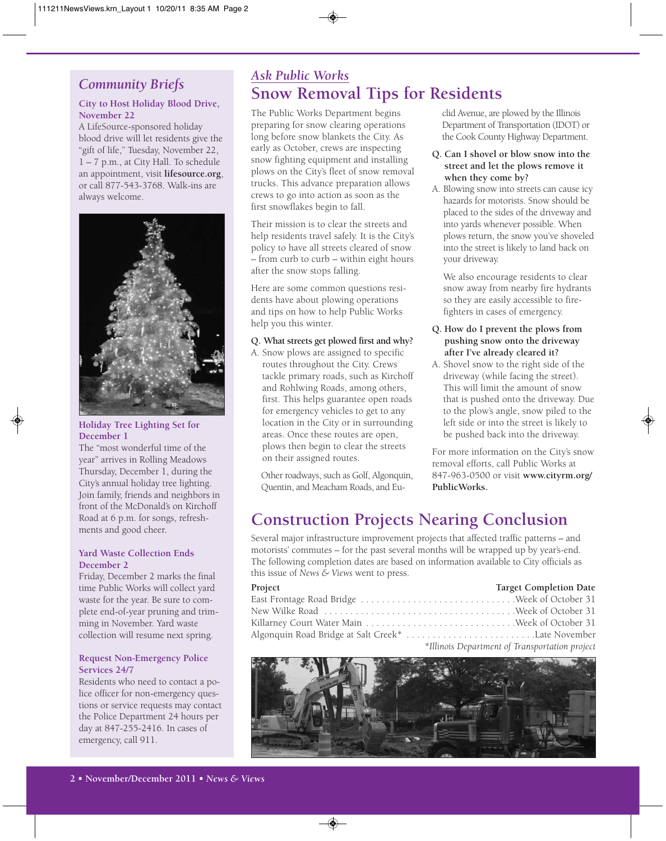## *Community Briefs*

## **City to Host Holiday Blood Drive, November 22**

A LifeSource-sponsored holiday blood drive will let residents give the "gift of life," Tuesday, November 22, 1 – 7 p.m., at City Hall. To schedule an appointment, visit **lifesource.org**, or call 877-543-3768. Walk-ins are always welcome.



## **Holiday Tree Lighting Set for December 1**

The "most wonderful time of the year" arrives in Rolling Meadows Thursday, December 1, during the City's annual holiday tree lighting. Join family, friends and neighbors in front of the McDonald's on Kirchoff Road at 6 p.m. for songs, refreshments and good cheer.

#### **Yard Waste Collection Ends December 2**

Friday, December 2 marks the final time Public Works will collect yard waste for the year. Be sure to complete end-of-year pruning and trimming in November. Yard waste collection will resume next spring.

## **Request Non-Emergency Police Services 24/7**

Residents who need to contact a police officer for non-emergency questions or service requests may contact the Police Department 24 hours per day at 847-255-2416. In cases of emergency, call 911.

# *Ask Public Works* **Snow Removal Tips for Residents**

The Public Works Department begins preparing for snow clearing operations long before snow blankets the City. As early as October, crews are inspecting snow fighting equipment and installing plows on the City's fleet of snow removal trucks. This advance preparation allows crews to go into action as soon as the first snowflakes begin to fall.

Their mission is to clear the streets and help residents travel safely. It is the City's policy to have all streets cleared of snow – from curb to curb – within eight hours after the snow stops falling.

Here are some common questions residents have about plowing operations and tips on how to help Public Works help you this winter.

## **Q. What streets get plowed first and why?**

A. Snow plows are assigned to specific routes throughout the City. Crews tackle primary roads, such as Kirchoff and Rohlwing Roads, among others, first. This helps guarantee open roads for emergency vehicles to get to any location in the City or in surrounding areas. Once these routes are open, plows then begin to clear the streets on their assigned routes.

Other roadways, such as Golf, Algonquin, Quentin, and Meacham Roads, and Euclid Avenue, are plowed by the Illinois Department of Transportation (IDOT) or the Cook County Highway Department.

## **Q. Can I shovel or blow snow into the street and let the plows remove it when they come by?**

A. Blowing snow into streets can cause icy hazards for motorists. Snow should be placed to the sides of the driveway and into yards whenever possible. When plows return, the snow you've shoveled into the street is likely to land back on your driveway.

We also encourage residents to clear snow away from nearby fire hydrants so they are easily accessible to firefighters in cases of emergency.

## **Q. How do I prevent the plows from pushing snow onto the driveway after I've already cleared it?**

A. Shovel snow to the right side of the driveway (while facing the street). This will limit the amount of snow that is pushed onto the driveway. Due to the plow's angle, snow piled to the left side or into the street is likely to be pushed back into the driveway.

For more information on the City's snow removal efforts, call Public Works at 847-963-0500 or visit **www.cityrm.org/ PublicWorks.** 

# **Construction Projects Nearing Conclusion**

Several major infrastructure improvement projects that affected traffic patterns – and motorists' commutes – for the past several months will be wrapped up by year's-end. The following completion dates are based on information available to City officials as this issue of *News & Views* went to press.

| Project | <b>Target Completion Date</b>                                                                                                                                                                                                                                                                |
|---------|----------------------------------------------------------------------------------------------------------------------------------------------------------------------------------------------------------------------------------------------------------------------------------------------|
|         |                                                                                                                                                                                                                                                                                              |
|         |                                                                                                                                                                                                                                                                                              |
|         |                                                                                                                                                                                                                                                                                              |
|         |                                                                                                                                                                                                                                                                                              |
|         | $\sim$ 711 $\sim$ 7 $\sim$ 7 $\sim$ 7 $\sim$ 7 $\sim$ 7 $\sim$ 7 $\sim$ 7 $\sim$ 7 $\sim$ 7 $\sim$ 7 $\sim$ 7 $\sim$ 7 $\sim$ 7 $\sim$ 7 $\sim$ 7 $\sim$ 7 $\sim$ 7 $\sim$ 7 $\sim$ 7 $\sim$ 7 $\sim$ 7 $\sim$ 7 $\sim$ 7 $\sim$ 7 $\sim$ 7 $\sim$ 7 $\sim$ 7 $\sim$ 7 $\sim$ 7 $\sim$ 7 $\$ |

*\*Illinois Department of Transportation project*

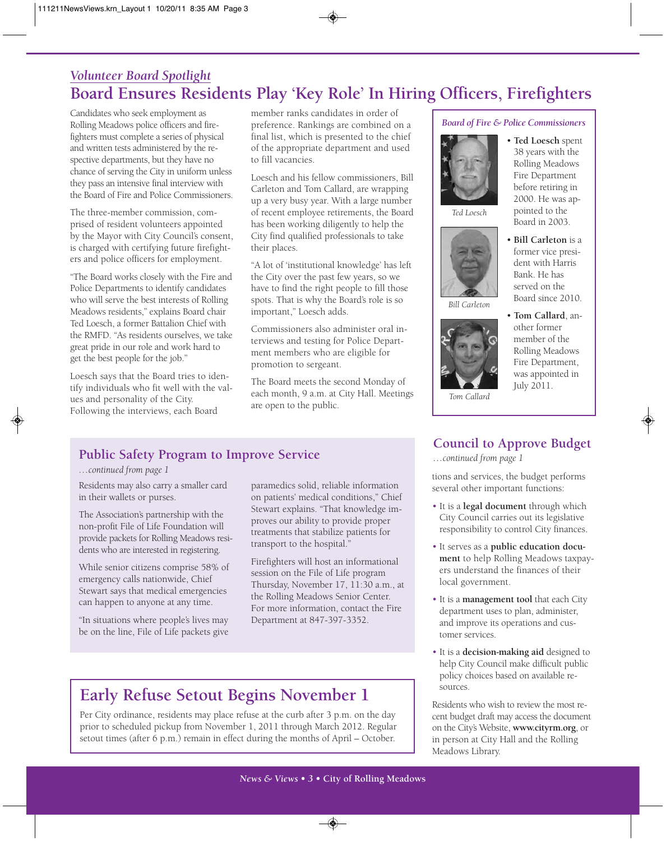# *Volunteer Board Spotlight* **Board Ensures Residents Play 'Key Role' In Hiring Officers, Firefighters**

Candidates who seek employment as Rolling Meadows police officers and firefighters must complete a series of physical and written tests administered by the respective departments, but they have no chance of serving the City in uniform unless they pass an intensive final interview with the Board of Fire and Police Commissioners.

The three-member commission, comprised of resident volunteers appointed by the Mayor with City Council's consent, is charged with certifying future firefighters and police officers for employment.

"The Board works closely with the Fire and Police Departments to identify candidates who will serve the best interests of Rolling Meadows residents," explains Board chair Ted Loesch, a former Battalion Chief with the RMFD. "As residents ourselves, we take great pride in our role and work hard to get the best people for the job."

Loesch says that the Board tries to identify individuals who fit well with the values and personality of the City. Following the interviews, each Board

member ranks candidates in order of preference. Rankings are combined on a final list, which is presented to the chief of the appropriate department and used to fill vacancies.

Loesch and his fellow commissioners, Bill Carleton and Tom Callard, are wrapping up a very busy year. With a large number of recent employee retirements, the Board has been working diligently to help the City find qualified professionals to take their places.

"A lot of 'institutional knowledge' has left the City over the past few years, so we have to find the right people to fill those spots. That is why the Board's role is so important," Loesch adds.

Commissioners also administer oral interviews and testing for Police Department members who are eligible for promotion to sergeant.

The Board meets the second Monday of each month, 9 a.m. at City Hall. Meetings are open to the public.

*Board of Fire & Police Commissioners*



*Ted Loesch*



Board in 2003. • **Bill Carleton** is a former vice president with Harris Bank. He has served on the

Board since 2010.

• **Ted Loesch** spent 38 years with the Rolling Meadows Fire Department before retiring in 2000. He was appointed to the

*Bill Carleton*



• **Tom Callard**, another former member of the Rolling Meadows Fire Department, was appointed in July 2011.

*Tom Callard*

## **Council to Approve Budget**

*…continued from page 1*

tions and services, the budget performs several other important functions:

- It is a **legal document** through which City Council carries out its legislative responsibility to control City finances.
- It serves as a **public education document** to help Rolling Meadows taxpayers understand the finances of their local government.
- It is a **management tool** that each City department uses to plan, administer, and improve its operations and customer services.
- It is a **decision-making aid** designed to help City Council make difficult public policy choices based on available resources.

Residents who wish to review the most recent budget draft may access the document on the City's Website, **www.cityrm.org**, or in person at City Hall and the Rolling Meadows Library.

## **Public Safety Program to Improve Service**

## *…continued from page 1*

Residents may also carry a smaller card in their wallets or purses.

The Association's partnership with the non-profit File of Life Foundation will provide packets for Rolling Meadows residents who are interested in registering.

While senior citizens comprise 58% of emergency calls nationwide, Chief Stewart says that medical emergencies can happen to anyone at any time.

"In situations where people's lives may be on the line, File of Life packets give

paramedics solid, reliable information on patients' medical conditions," Chief Stewart explains. "That knowledge improves our ability to provide proper treatments that stabilize patients for transport to the hospital."

Firefighters will host an informational session on the File of Life program Thursday, November 17, 11:30 a.m., at the Rolling Meadows Senior Center. For more information, contact the Fire Department at 847-397-3352.

# **Early Refuse Setout Begins November 1**

Per City ordinance, residents may place refuse at the curb after 3 p.m. on the day prior to scheduled pickup from November 1, 2011 through March 2012. Regular setout times (after 6 p.m.) remain in effect during the months of April – October.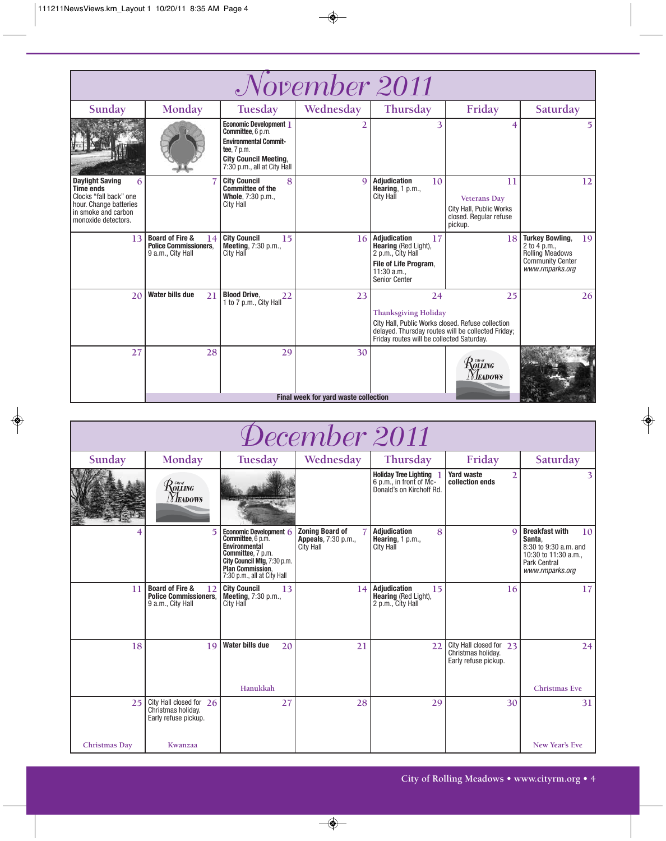| November 2011                                                                                                                                     |                                                                                       |                                                                                                                                                                  |                                      |                                                                                                                                                                                           |                                                                                                 |                                                                                                                      |
|---------------------------------------------------------------------------------------------------------------------------------------------------|---------------------------------------------------------------------------------------|------------------------------------------------------------------------------------------------------------------------------------------------------------------|--------------------------------------|-------------------------------------------------------------------------------------------------------------------------------------------------------------------------------------------|-------------------------------------------------------------------------------------------------|----------------------------------------------------------------------------------------------------------------------|
| Sunday                                                                                                                                            | Monday                                                                                | Tuesday                                                                                                                                                          | Wednesday                            | Thursday                                                                                                                                                                                  | Friday                                                                                          | Saturday                                                                                                             |
|                                                                                                                                                   |                                                                                       | <b>Economic Development 1</b><br>Committee, 6 p.m.<br><b>Environmental Commit-</b><br>tee. 7 p.m.<br><b>City Council Meeting,</b><br>7:30 p.m., all at City Hall |                                      | 3                                                                                                                                                                                         | 4                                                                                               | 5.                                                                                                                   |
| <b>Daylight Saving</b><br>6<br><b>Time ends</b><br>Clocks "fall back" one<br>hour. Change batteries<br>in smoke and carbon<br>monoxide detectors. |                                                                                       | <b>City Council</b><br>8<br><b>Committee of the</b><br>Whole, 7:30 p.m.,<br><b>City Hall</b>                                                                     | $\Omega$                             | <b>Adjudication</b><br>10<br>Hearing, $1 p.m.,$<br><b>City Hall</b>                                                                                                                       | 11<br><b>Veterans Day</b><br>City Hall, Public Works<br>closed. Regular refuse<br>pickup.       | 12                                                                                                                   |
| 13                                                                                                                                                | <b>Board of Fire &amp;</b><br>14<br><b>Police Commissioners.</b><br>9 a.m., City Hall | <b>City Council</b><br>15<br>Meeting, 7:30 p.m.,<br>City Hall                                                                                                    | 16                                   | <b>Adjudication</b><br>17<br><b>Hearing (Red Light),</b><br>2 p.m., City Hall<br>File of Life Program,<br>$11:30$ a.m.,<br><b>Senior Center</b>                                           | 18                                                                                              | <b>Turkey Bowling.</b><br>19<br>2 to 4 p.m.,<br><b>Rolling Meadows</b><br><b>Community Center</b><br>www.rmparks.org |
| 20                                                                                                                                                | <b>Water bills due</b><br>21                                                          | <b>Blood Drive,</b><br>22<br>1 to 7 p.m., City Hall                                                                                                              | 23                                   | 24<br><b>Thanksgiving Holiday</b><br>City Hall, Public Works closed. Refuse collection<br>delayed. Thursday routes will be collected Friday;<br>Friday routes will be collected Saturday. | 25                                                                                              | 26                                                                                                                   |
| 27                                                                                                                                                | 28                                                                                    | 29                                                                                                                                                               | 30                                   |                                                                                                                                                                                           | $\mathcal{R}^{\tiny{{\tiny{C}\!\mathit{w}\!\mathit{d}}}}_{{\mathit{OLLING}}}$<br><b>Neadows</b> |                                                                                                                      |
|                                                                                                                                                   |                                                                                       |                                                                                                                                                                  | Final week for yard waste collection |                                                                                                                                                                                           |                                                                                                 |                                                                                                                      |

| December 2011 |                                                                                       |                                                                                                                                                                                          |                                                                           |                                                                                |                                                                       |                                                                                                                                        |
|---------------|---------------------------------------------------------------------------------------|------------------------------------------------------------------------------------------------------------------------------------------------------------------------------------------|---------------------------------------------------------------------------|--------------------------------------------------------------------------------|-----------------------------------------------------------------------|----------------------------------------------------------------------------------------------------------------------------------------|
| Sunday        | Monday                                                                                | Tuesday                                                                                                                                                                                  | Wednesday                                                                 | Thursday                                                                       | Friday                                                                | Saturday                                                                                                                               |
|               | $\mathcal{R}$ olling<br>Meadows                                                       |                                                                                                                                                                                          |                                                                           | Holiday Tree Lighting ]<br>6 p.m., in front of Mc-<br>Donald's on Kirchoff Rd. | <b>Yard waste</b><br>$\overline{2}$<br>collection ends                | 3                                                                                                                                      |
|               |                                                                                       | Economic Development 6<br><b>Committee, 6 p.m.</b><br><b>Environmental</b><br>Committee, 7 p.m.<br>City Council Mtg, 7:30 p.m.<br><b>Plan Commission.</b><br>7:30 p.m., all at City Hall | <b>Zoning Board of</b><br><b>Appeals</b> , 7:30 p.m.,<br><b>City Hall</b> | <b>Adjudication</b><br>8<br>Hearing, $1 p.m.,$<br>City Hall                    | $\mathbf Q$                                                           | <b>Breakfast with</b><br>10 <sup>1</sup><br>Santa.<br>8:30 to 9:30 a.m. and<br>10:30 to 11:30 a.m.,<br>Park Central<br>www.rmparks.org |
| 11            | <b>Board of Fire &amp;</b><br>12<br><b>Police Commissioners.</b><br>9 a.m., City Hall | <b>City Council</b><br>13<br><b>Meeting, 7:30 p.m.,</b><br><b>City Hall</b>                                                                                                              | 14                                                                        | Adjudication<br>15<br>Hearing (Red Light),<br>2 p.m., City Hall                | 16                                                                    | 17                                                                                                                                     |
| 18            | 19                                                                                    | <b>Water bills due</b><br>20                                                                                                                                                             | 21                                                                        | 22                                                                             | City Hall closed for 23<br>Christmas holiday.<br>Early refuse pickup. | 24                                                                                                                                     |
|               |                                                                                       | Hanukkah                                                                                                                                                                                 |                                                                           |                                                                                |                                                                       | <b>Christmas Eve</b>                                                                                                                   |
| 25            | City Hall closed for 26<br>Christmas holiday.<br>Early refuse pickup.                 | 27                                                                                                                                                                                       | 28                                                                        | 29                                                                             | 30                                                                    | 31                                                                                                                                     |
| Christmas Day | Kwanzaa                                                                               |                                                                                                                                                                                          |                                                                           |                                                                                |                                                                       | New Year's Eve                                                                                                                         |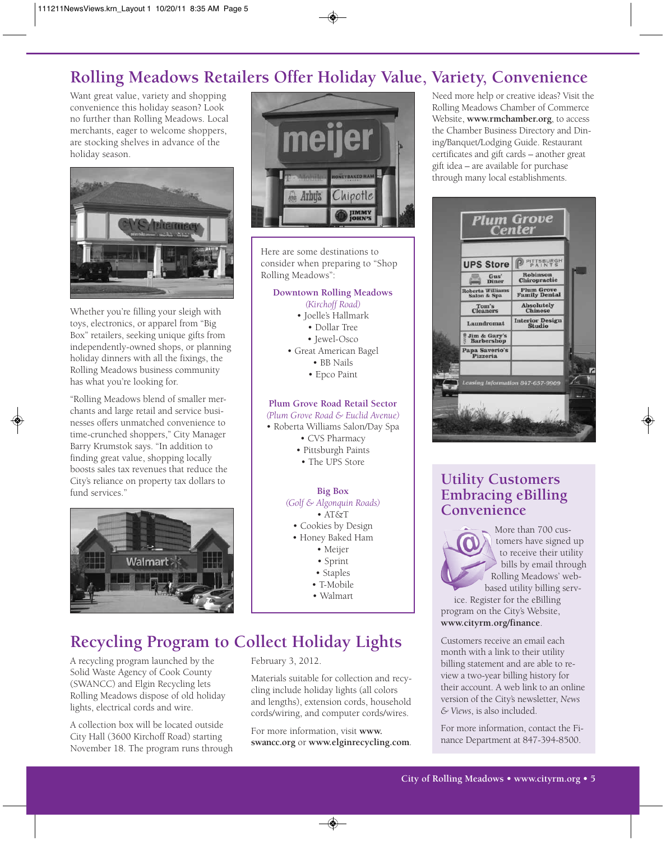# **Rolling Meadows Retailers Offer Holiday Value, Variety, Convenience**

Want great value, variety and shopping convenience this holiday season? Look no further than Rolling Meadows. Local merchants, eager to welcome shoppers, are stocking shelves in advance of the holiday season.



Whether you're filling your sleigh with toys, electronics, or apparel from "Big Box" retailers, seeking unique gifts from independently-owned shops, or planning holiday dinners with all the fixings, the Rolling Meadows business community has what you're looking for.

"Rolling Meadows blend of smaller merchants and large retail and service businesses offers unmatched convenience to time-crunched shoppers," City Manager Barry Krumstok says. "In addition to finding great value, shopping locally boosts sales tax revenues that reduce the City's reliance on property tax dollars to fund services."





Here are some destinations to consider when preparing to "Shop Rolling Meadows":

#### **Downtown Rolling Meadows**

- *(Kirchoff Road)*
- Joelle's Hallmark
	- Dollar Tree
	- Jewel-Osco
- Great American Bagel
	- BB Nails
	- Epco Paint

## **Plum Grove Road Retail Sector**

- *(Plum Grove Road & Euclid Avenue)*
- Roberta Williams Salon/Day Spa
	- CVS Pharmacy
	- Pittsburgh Paints
	- The UPS Store

## **Big Box**

- *(Golf & Algonquin Roads)*
	- AT&T
	- Cookies by Design
- Honey Baked Ham
	- Meijer
	- Sprint
	- Staples
	- T-Mobile
	- Walmart

# **Recycling Program to Collect Holiday Lights**

A recycling program launched by the Solid Waste Agency of Cook County (SWANCC) and Elgin Recycling lets Rolling Meadows dispose of old holiday lights, electrical cords and wire.

A collection box will be located outside City Hall (3600 Kirchoff Road) starting November 18. The program runs through

## February 3, 2012.

Materials suitable for collection and recycling include holiday lights (all colors and lengths), extension cords, household cords/wiring, and computer cords/wires.

For more information, visit **www. swancc.org** or **www.elginrecycling.com***.* Need more help or creative ideas? Visit the Rolling Meadows Chamber of Commerce Website, **www.rmchamber.org**, to access the Chamber Business Directory and Dining/Banquet/Lodging Guide. Restaurant certificates and gift cards – another great gift idea – are available for purchase through many local establishments.



## **Utility Customers Embracing eBilling Convenience**

More than 700 customers have signed up to receive their utility bills by email through Rolling Meadows' webbased utility billing serv-

ice. Register for the eBilling program on the City's Website, **www.cityrm.org/finance**.

Customers receive an email each month with a link to their utility billing statement and are able to review a two-year billing history for their account. A web link to an online version of the City's newsletter, *News & Views*, is also included.

For more information, contact the Finance Department at 847-394-8500.